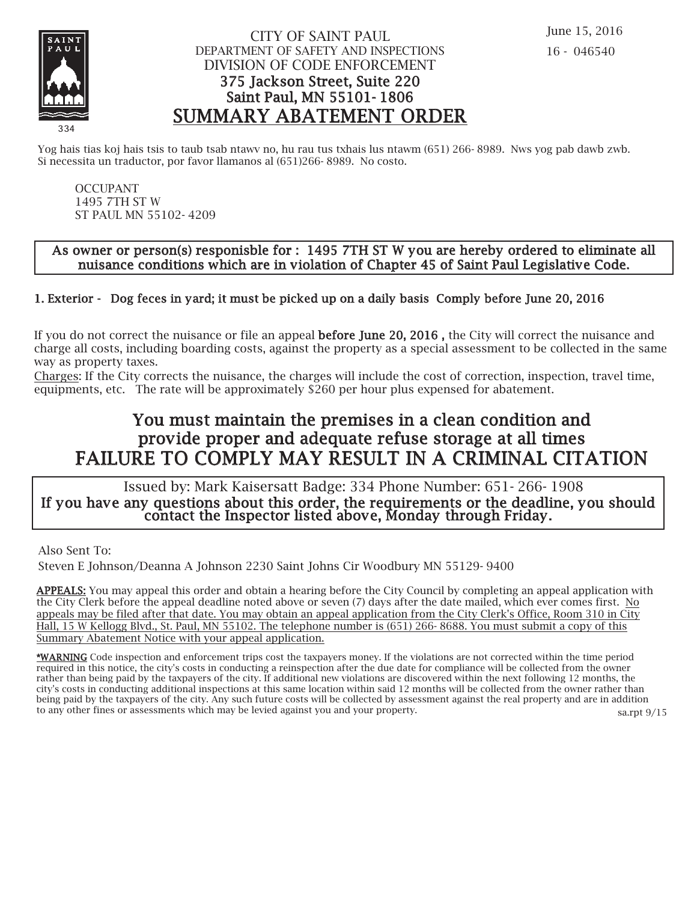

### CITY OF SAINT PAUL DEPARTMENT OF SAFETY AND INSPECTIONS DIVISION OF CODE ENFORCEMENT 375 Jackson Street, Suite 220 Saint Paul, MN 55101- 1806 SUMMARY ABATEMENT ORDER

Yog hais tias koj hais tsis to taub tsab ntawv no, hu rau tus txhais lus ntawm (651) 266- 8989. Nws yog pab dawb zwb. Si necessita un traductor, por favor llamanos al (651)266- 8989. No costo.

OCCUPANT 1495 7TH ST W ST PAUL MN 55102- 4209

#### As owner or person(s) responisble for : 1495 7TH ST W you are hereby ordered to eliminate all nuisance conditions which are in violation of Chapter 45 of Saint Paul Legislative Code.

## 1. Exterior - Dog feces in yard; it must be picked up on a daily basis Comply before June 20, 2016

If you do not correct the nuisance or file an appeal before June 20, 2016 , the City will correct the nuisance and charge all costs, including boarding costs, against the property as a special assessment to be collected in the same way as property taxes.

Charges: If the City corrects the nuisance, the charges will include the cost of correction, inspection, travel time, equipments, etc. The rate will be approximately \$260 per hour plus expensed for abatement.

## You must maintain the premises in a clean condition and provide proper and adequate refuse storage at all times FAILURE TO COMPLY MAY RESULT IN A CRIMINAL CITATION

 Issued by: Mark Kaisersatt Badge: 334 Phone Number: 651- 266- 1908 If you have any questions about this order, the requirements or the deadline, you should contact the Inspector listed above, Monday through Friday.

Also Sent To:

Steven E Johnson/Deanna A Johnson 2230 Saint Johns Cir Woodbury MN 55129- 9400

APPEALS: You may appeal this order and obtain a hearing before the City Council by completing an appeal application with the City Clerk before the appeal deadline noted above or seven (7) days after the date mailed, which ever comes first. No appeals may be filed after that date. You may obtain an appeal application from the City Clerk's Office, Room 310 in City Hall, 15 W Kellogg Blvd., St. Paul, MN 55102. The telephone number is (651) 266- 8688. You must submit a copy of this Summary Abatement Notice with your appeal application.

\*WARNING Code inspection and enforcement trips cost the taxpayers money. If the violations are not corrected within the time period required in this notice, the city's costs in conducting a reinspection after the due date for compliance will be collected from the owner rather than being paid by the taxpayers of the city. If additional new violations are discovered within the next following 12 months, the city's costs in conducting additional inspections at this same location within said 12 months will be collected from the owner rather than being paid by the taxpayers of the city. Any such future costs will be collected by assessment against the real property and are in addition to any other fines or assessments which may be levied against you and your property. sa.rpt 9/15